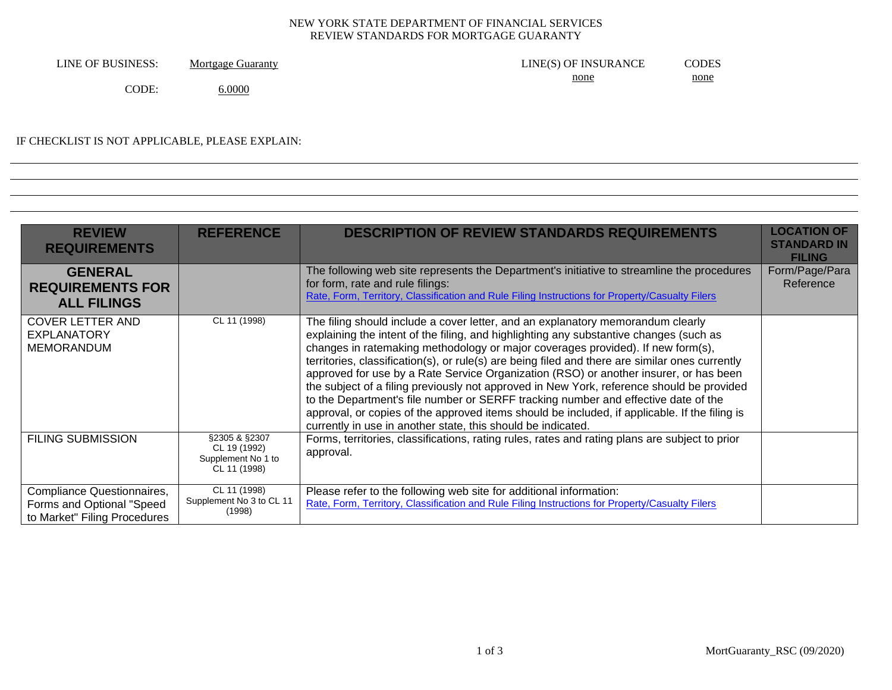## NEW YORK STATE DEPARTMENT OF FINANCIAL SERVICES REVIEW STANDARDS FOR MORTGAGE GUARANTY

| LINE OF BUSINESS: | Mortgage Guaranty | LINE(S) OF INSURANCE | CODES                                                                                                                                                                                                                                        |
|-------------------|-------------------|----------------------|----------------------------------------------------------------------------------------------------------------------------------------------------------------------------------------------------------------------------------------------|
|                   |                   | none                 | none<br><u> London Communication and the communication of the communication of the communication of the communication of the communication of the communication of the communication of the communication of the communication of the co</u> |
| CODE:             | 6.0000            |                      |                                                                                                                                                                                                                                              |

## IF CHECKLIST IS NOT APPLICABLE, PLEASE EXPLAIN:

| <b>REVIEW</b><br><b>REQUIREMENTS</b>                                                    | <b>REFERENCE</b>                                                    | <b>DESCRIPTION OF REVIEW STANDARDS REQUIREMENTS</b>                                                                                                                                                                                                                                                                                                                                                                                                                                                                                                                                                                                                                                                                                                                                                          | <b>LOCATION OF</b><br><b>STANDARD IN</b><br><b>FILING</b> |
|-----------------------------------------------------------------------------------------|---------------------------------------------------------------------|--------------------------------------------------------------------------------------------------------------------------------------------------------------------------------------------------------------------------------------------------------------------------------------------------------------------------------------------------------------------------------------------------------------------------------------------------------------------------------------------------------------------------------------------------------------------------------------------------------------------------------------------------------------------------------------------------------------------------------------------------------------------------------------------------------------|-----------------------------------------------------------|
| <b>GENERAL</b><br><b>REQUIREMENTS FOR</b><br><b>ALL FILINGS</b>                         |                                                                     | The following web site represents the Department's initiative to streamline the procedures<br>for form, rate and rule filings:<br>Rate, Form, Territory, Classification and Rule Filing Instructions for Property/Casualty Filers                                                                                                                                                                                                                                                                                                                                                                                                                                                                                                                                                                            | Form/Page/Para<br>Reference                               |
| <b>COVER LETTER AND</b><br><b>EXPLANATORY</b><br><b>MEMORANDUM</b>                      | CL 11 (1998)                                                        | The filing should include a cover letter, and an explanatory memorandum clearly<br>explaining the intent of the filing, and highlighting any substantive changes (such as<br>changes in ratemaking methodology or major coverages provided). If new form(s),<br>territories, classification(s), or rule(s) are being filed and there are similar ones currently<br>approved for use by a Rate Service Organization (RSO) or another insurer, or has been<br>the subject of a filing previously not approved in New York, reference should be provided<br>to the Department's file number or SERFF tracking number and effective date of the<br>approval, or copies of the approved items should be included, if applicable. If the filing is<br>currently in use in another state, this should be indicated. |                                                           |
| <b>FILING SUBMISSION</b>                                                                | §2305 & §2307<br>CL 19 (1992)<br>Supplement No 1 to<br>CL 11 (1998) | Forms, territories, classifications, rating rules, rates and rating plans are subject to prior<br>approval.                                                                                                                                                                                                                                                                                                                                                                                                                                                                                                                                                                                                                                                                                                  |                                                           |
| Compliance Questionnaires,<br>Forms and Optional "Speed<br>to Market" Filing Procedures | CL 11 (1998)<br>Supplement No 3 to CL 11<br>(1998)                  | Please refer to the following web site for additional information:<br>Rate, Form, Territory, Classification and Rule Filing Instructions for Property/Casualty Filers                                                                                                                                                                                                                                                                                                                                                                                                                                                                                                                                                                                                                                        |                                                           |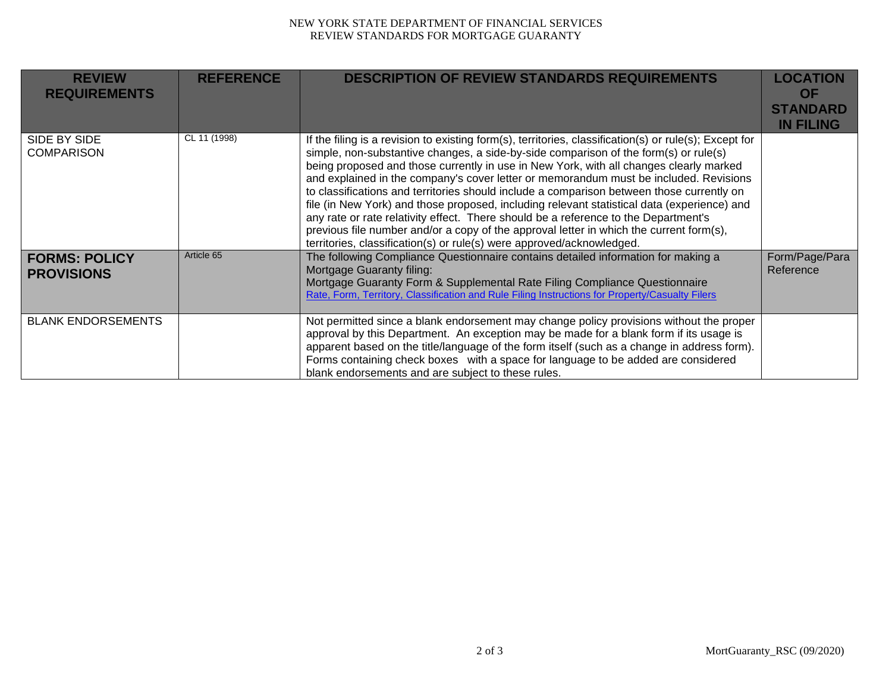## NEW YORK STATE DEPARTMENT OF FINANCIAL SERVICES REVIEW STANDARDS FOR MORTGAGE GUARANTY

| <b>REVIEW</b><br><b>REQUIREMENTS</b>      | <b>REFERENCE</b> | <b>DESCRIPTION OF REVIEW STANDARDS REQUIREMENTS</b>                                                                                                                                                                                                                                                                                                                                                                                                                                                                                                                                                                                                                                                                                                                                                                                      | <b>LOCATION</b><br><b>OF</b><br><b>STANDARD</b><br><b>IN FILING</b> |
|-------------------------------------------|------------------|------------------------------------------------------------------------------------------------------------------------------------------------------------------------------------------------------------------------------------------------------------------------------------------------------------------------------------------------------------------------------------------------------------------------------------------------------------------------------------------------------------------------------------------------------------------------------------------------------------------------------------------------------------------------------------------------------------------------------------------------------------------------------------------------------------------------------------------|---------------------------------------------------------------------|
| SIDE BY SIDE<br><b>COMPARISON</b>         | CL 11 (1998)     | If the filing is a revision to existing form(s), territories, classification(s) or rule(s); Except for<br>simple, non-substantive changes, a side-by-side comparison of the form(s) or rule(s)<br>being proposed and those currently in use in New York, with all changes clearly marked<br>and explained in the company's cover letter or memorandum must be included. Revisions<br>to classifications and territories should include a comparison between those currently on<br>file (in New York) and those proposed, including relevant statistical data (experience) and<br>any rate or rate relativity effect. There should be a reference to the Department's<br>previous file number and/or a copy of the approval letter in which the current form(s),<br>territories, classification(s) or rule(s) were approved/acknowledged. |                                                                     |
| <b>FORMS: POLICY</b><br><b>PROVISIONS</b> | Article 65       | The following Compliance Questionnaire contains detailed information for making a<br>Mortgage Guaranty filing:<br>Mortgage Guaranty Form & Supplemental Rate Filing Compliance Questionnaire<br>Rate, Form, Territory, Classification and Rule Filing Instructions for Property/Casualty Filers                                                                                                                                                                                                                                                                                                                                                                                                                                                                                                                                          | Form/Page/Para<br>Reference                                         |
| <b>BLANK ENDORSEMENTS</b>                 |                  | Not permitted since a blank endorsement may change policy provisions without the proper<br>approval by this Department. An exception may be made for a blank form if its usage is<br>apparent based on the title/language of the form itself (such as a change in address form).<br>Forms containing check boxes with a space for language to be added are considered<br>blank endorsements and are subject to these rules.                                                                                                                                                                                                                                                                                                                                                                                                              |                                                                     |